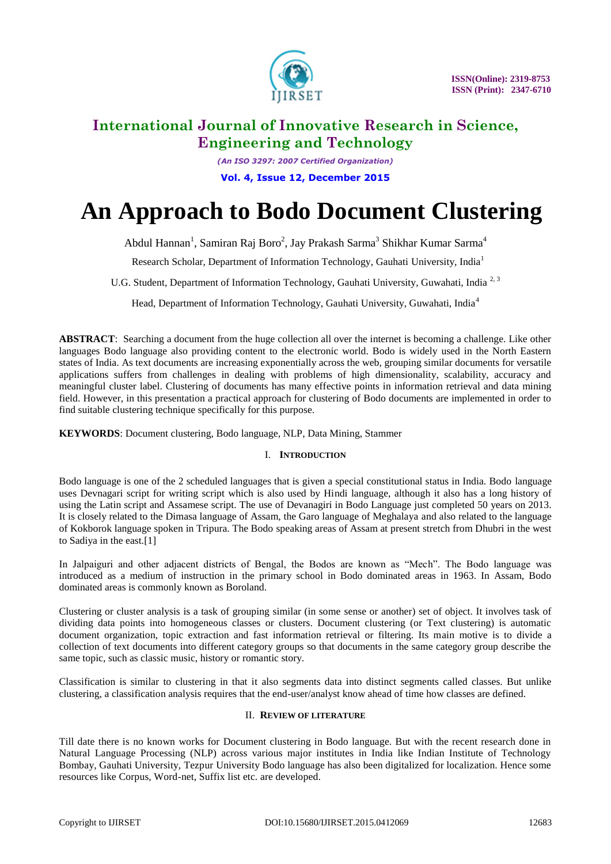

*(An ISO 3297: 2007 Certified Organization)* **Vol. 4, Issue 12, December 2015**

# **An Approach to Bodo Document Clustering**

Abdul Hannan<sup>1</sup>, Samiran Raj Boro<sup>2</sup>, Jay Prakash Sarma<sup>3</sup> Shikhar Kumar Sarma<sup>4</sup>

Research Scholar, Department of Information Technology, Gauhati University, India<sup>1</sup>

U.G. Student, Department of Information Technology, Gauhati University, Guwahati, India<sup>2,3</sup>

Head, Department of Information Technology, Gauhati University, Guwahati, India<sup>4</sup>

**ABSTRACT**: Searching a document from the huge collection all over the internet is becoming a challenge. Like other languages Bodo language also providing content to the electronic world. Bodo is widely used in the North Eastern states of India. As text documents are increasing exponentially across the web, grouping similar documents for versatile applications suffers from challenges in dealing with problems of high dimensionality, scalability, accuracy and meaningful cluster label. Clustering of documents has many effective points in information retrieval and data mining field. However, in this presentation a practical approach for clustering of Bodo documents are implemented in order to find suitable clustering technique specifically for this purpose.

**KEYWORDS**: Document clustering, Bodo language, NLP, Data Mining, Stammer

### I. **INTRODUCTION**

Bodo language is one of the 2 scheduled languages that is given a special constitutional status in India. Bodo language uses Devnagari script for writing script which is also used by Hindi language, although it also has a long history of using the Latin script and Assamese script. The use of Devanagiri in Bodo Language just completed 50 years on 2013. It is closely related to the Dimasa language of Assam, the Garo language of Meghalaya and also related to the language of Kokborok language spoken in Tripura. The Bodo speaking areas of Assam at present stretch from Dhubri in the west to Sadiya in the east.[1]

In Jalpaiguri and other adjacent districts of Bengal, the Bodos are known as "Mech". The Bodo language was introduced as a medium of instruction in the primary school in Bodo dominated areas in 1963. In Assam, Bodo dominated areas is commonly known as Boroland.

Clustering or cluster analysis is a task of grouping similar (in some sense or another) set of object. It involves task of dividing data points into homogeneous classes or clusters. Document clustering (or Text clustering) is automatic document organization, topic extraction and fast information retrieval or filtering. Its main motive is to divide a collection of text documents into different category groups so that documents in the same category group describe the same topic, such as classic music, history or romantic story.

Classification is similar to clustering in that it also segments data into distinct segments called classes. But unlike clustering, a classification analysis requires that the end-user/analyst know ahead of time how classes are defined.

### II. **REVIEW OF LITERATURE**

Till date there is no known works for Document clustering in Bodo language. But with the recent research done in Natural Language Processing (NLP) across various major institutes in India like Indian Institute of Technology Bombay, Gauhati University, Tezpur University Bodo language has also been digitalized for localization. Hence some resources like Corpus, Word-net, Suffix list etc. are developed.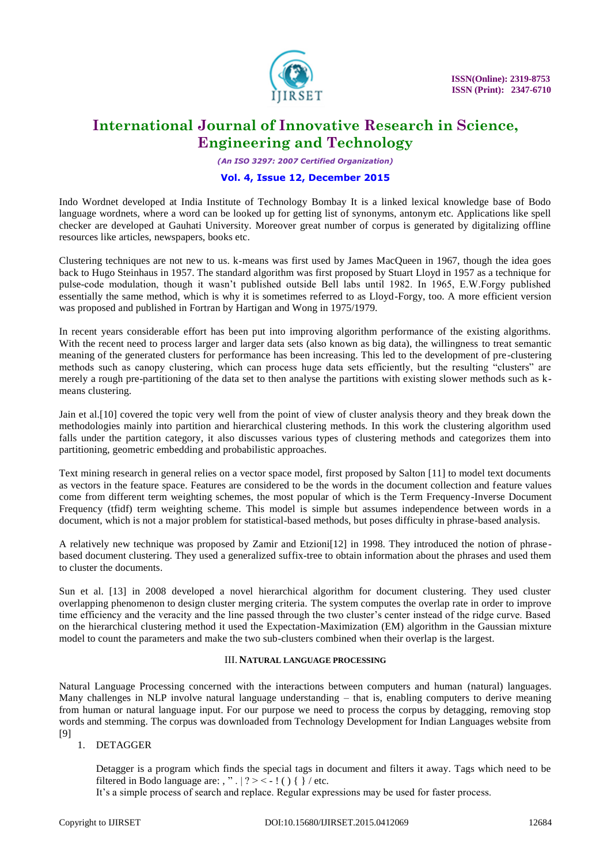

*(An ISO 3297: 2007 Certified Organization)*

#### **Vol. 4, Issue 12, December 2015**

Indo Wordnet developed at India Institute of Technology Bombay It is a linked lexical knowledge base of Bodo language wordnets, where a word can be looked up for getting list of synonyms, antonym etc. Applications like spell checker are developed at Gauhati University. Moreover great number of corpus is generated by digitalizing offline resources like articles, newspapers, books etc.

Clustering techniques are not new to us. k-means was first used by James MacQueen in 1967, though the idea goes back to Hugo Steinhaus in 1957. The standard algorithm was first proposed by Stuart Lloyd in 1957 as a technique for pulse-code modulation, though it wasn't published outside Bell labs until 1982. In 1965, E.W.Forgy published essentially the same method, which is why it is sometimes referred to as Lloyd-Forgy, too. A more efficient version was proposed and published in Fortran by Hartigan and Wong in 1975/1979.

In recent years considerable effort has been put into improving algorithm performance of the existing algorithms. With the recent need to process larger and larger data sets (also known as big data), the willingness to treat semantic meaning of the generated clusters for performance has been increasing. This led to the development of pre-clustering methods such as canopy clustering, which can process huge data sets efficiently, but the resulting "clusters" are merely a rough pre-partitioning of the data set to then analyse the partitions with existing slower methods such as kmeans clustering.

Jain et al.[10] covered the topic very well from the point of view of cluster analysis theory and they break down the methodologies mainly into partition and hierarchical clustering methods. In this work the clustering algorithm used falls under the partition category, it also discusses various types of clustering methods and categorizes them into partitioning, geometric embedding and probabilistic approaches.

Text mining research in general relies on a vector space model, first proposed by Salton [11] to model text documents as vectors in the feature space. Features are considered to be the words in the document collection and feature values come from different term weighting schemes, the most popular of which is the Term Frequency-Inverse Document Frequency (tfidf) term weighting scheme. This model is simple but assumes independence between words in a document, which is not a major problem for statistical-based methods, but poses difficulty in phrase-based analysis.

A relatively new technique was proposed by Zamir and Etzioni[12] in 1998. They introduced the notion of phrase based document clustering. They used a generalized suffix-tree to obtain information about the phrases and used them to cluster the documents.

Sun et al. [13] in 2008 developed a novel hierarchical algorithm for document clustering. They used cluster overlapping phenomenon to design cluster merging criteria. The system computes the overlap rate in order to improve time efficiency and the veracity and the line passed through the two cluster's center instead of the ridge curve. Based on the hierarchical clustering method it used the Expectation-Maximization (EM) algorithm in the Gaussian mixture model to count the parameters and make the two sub-clusters combined when their overlap is the largest.

### III. **NATURAL LANGUAGE PROCESSING**

Natural Language Processing concerned with the interactions between computers and human (natural) languages. Many challenges in NLP involve natural language understanding – that is, enabling computers to derive meaning from human or natural language input. For our purpose we need to process the corpus by detagging, removing stop words and stemming. The corpus was downloaded from Technology Development for Indian Languages website from [9]

### 1. DETAGGER

Detagger is a program which finds the special tags in document and filters it away. Tags which need to be filtered in Bodo language are: , ".  $| ? \rangle$  = -! () { }/etc.

It's a simple process of search and replace. Regular expressions may be used for faster process.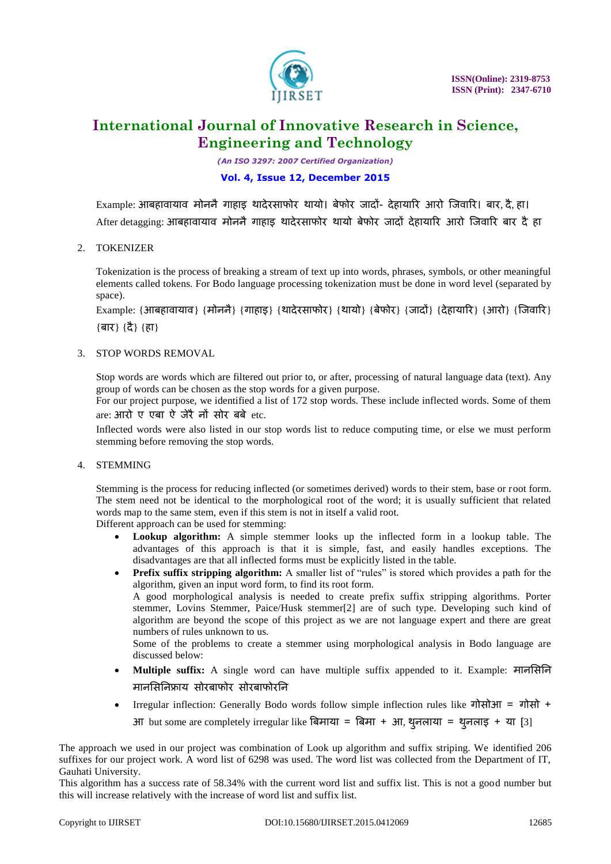

*(An ISO 3297: 2007 Certified Organization)*

### **Vol. 4, Issue 12, December 2015**

Example: आबहावायाव मोननैगाहाइ थादेरसाफोर थायो। बेफोर जादों- देहायारर आरो जजवारर। बार, दै, हा। After detagging: आबहावायाव मोननै गाहाड थादेरसाफोर थायो बेफोर जादों देहायारि आरो जिवारि बार दै हा

### 2. TOKENIZER

Tokenization is the process of breaking a stream of text up into words, phrases, symbols, or other meaningful elements called tokens. For Bodo language processing tokenization must be done in word level (separated by space).

Example: {आबहावायाव} {मोननै} {गाहाइ} {थादेरसाफोर} {थायो} {बेफोर} {जादों} {देहायारर} {आरो} {जजवारर} {बार} {दै} {हा}

### 3. STOP WORDS REMOVAL

Stop words are words which are filtered out prior to, or after, processing of natural language data (text). Any group of words can be chosen as the stop words for a given purpose.

For our project purpose, we identified a list of 172 stop words. These include inflected words. Some of them are: आरो ए एबा ऐ जेरैनों सोर बबे etc.

Inflected words were also listed in our stop words list to reduce computing time, or else we must perform stemming before removing the stop words.

### 4. STEMMING

Stemming is the process for reducing inflected (or sometimes derived) words to their stem, base or root form. The stem need not be identical to the morphological root of the word; it is usually sufficient that related words map to the same stem, even if this stem is not in itself a valid root.

Different approach can be used for stemming:

- **Lookup algorithm:** A simple stemmer looks up the inflected form in a lookup table. The advantages of this approach is that it is simple, fast, and easily handles exceptions. The disadvantages are that all inflected forms must be explicitly listed in the table.
- **Prefix suffix stripping algorithm:** A smaller list of "rules" is stored which provides a path for the algorithm, given an input word form, to find its root form. A good morphological analysis is needed to create prefix suffix stripping algorithms. Porter stemmer, Lovins Stemmer, Paice/Husk stemmer[2] are of such type. Developing such kind of algorithm are beyond the scope of this project as we are not language expert and there are great

numbers of rules unknown to us. Some of the problems to create a stemmer using morphological analysis in Bodo language are discussed below:

- **Multiple suffix:** A single word can have multiple suffix appended to it. Example: मानससनन मानसिनिफ्राय सोरबाफोर सोरबाफोरनि
- Irregular inflection: Generally Bodo words follow simple inflection rules like गोसोआ = गोसो + आ but some are completely irregular like बिमाया = बिमा + आ, थुनलाया = थुनलाइ + या [3]

The approach we used in our project was combination of Look up algorithm and suffix striping. We identified 206 suffixes for our project work. A word list of 6298 was used. The word list was collected from the Department of IT, Gauhati University.

This algorithm has a success rate of 58.34% with the current word list and suffix list. This is not a good number but this will increase relatively with the increase of word list and suffix list.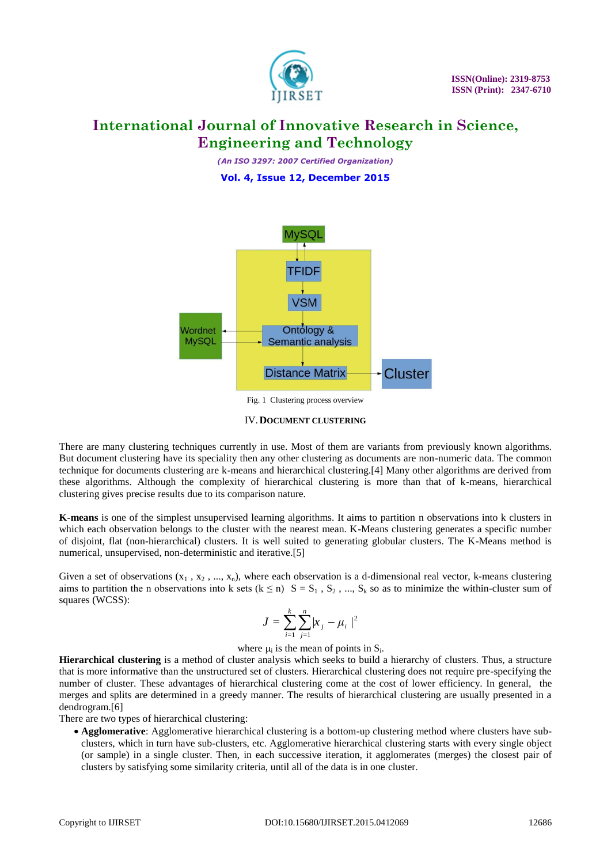

*(An ISO 3297: 2007 Certified Organization)* **Vol. 4, Issue 12, December 2015**



Fig. 1 Clustering process overview

#### IV.**DOCUMENT CLUSTERING**

There are many clustering techniques currently in use. Most of them are variants from previously known algorithms. But document clustering have its speciality then any other clustering as documents are non-numeric data. The common technique for documents clustering are k-means and hierarchical clustering.[4] Many other algorithms are derived from these algorithms. Although the complexity of hierarchical clustering is more than that of k-means, hierarchical clustering gives precise results due to its comparison nature.

**K-means** is one of the simplest unsupervised learning algorithms. It aims to partition n observations into k clusters in which each observation belongs to the cluster with the nearest mean. K-Means clustering generates a specific number of disjoint, flat (non-hierarchical) clusters. It is well suited to generating globular clusters. The K-Means method is numerical, unsupervised, non-deterministic and iterative.[5]

Given a set of observations  $(x_1, x_2, ..., x_n)$ , where each observation is a d-dimensional real vector, k-means clustering aims to partition the n observations into k sets  $(k \le n)$   $S = S_1$ ,  $S_2$ , ...,  $S_k$  so as to minimize the within-cluster sum of squares (WCSS):

$$
J = \sum_{i=1}^{k} \sum_{j=1}^{n} |x_j - \mu_i|^2
$$

where  $\mu_i$  is the mean of points in  $S_i$ .

**Hierarchical clustering** is a method of cluster analysis which seeks to build a hierarchy of clusters. Thus, a structure that is more informative than the unstructured set of clusters. Hierarchical clustering does not require pre-specifying the number of cluster. These advantages of hierarchical clustering come at the cost of lower efficiency. In general, the merges and splits are determined in a greedy manner. The results of hierarchical clustering are usually presented in a dendrogram.[6]

There are two types of hierarchical clustering:

 **Agglomerative**: Agglomerative hierarchical clustering is a bottom-up clustering method where clusters have subclusters, which in turn have sub-clusters, etc. Agglomerative hierarchical clustering starts with every single object (or sample) in a single cluster. Then, in each successive iteration, it agglomerates (merges) the closest pair of clusters by satisfying some similarity criteria, until all of the data is in one cluster.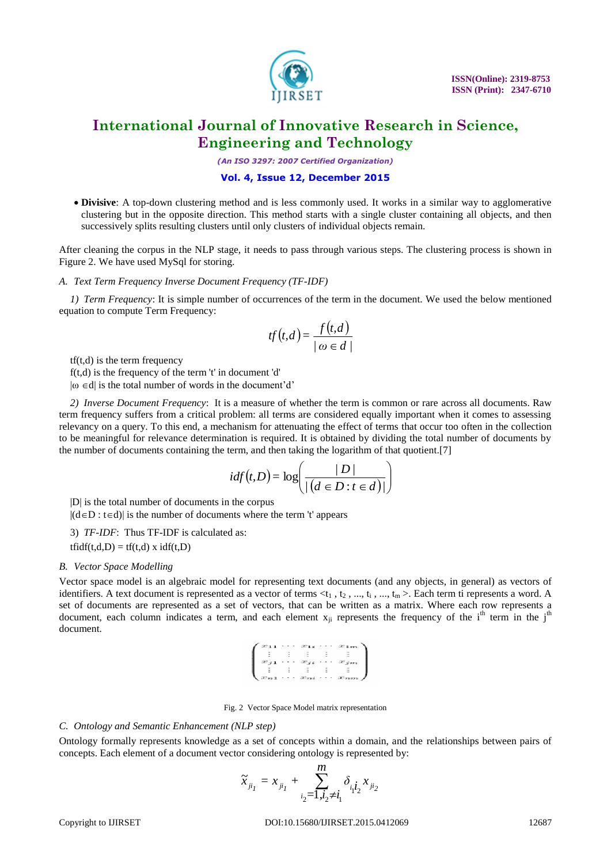

*(An ISO 3297: 2007 Certified Organization)*

#### **Vol. 4, Issue 12, December 2015**

 **Divisive**: A top-down clustering method and is less commonly used. It works in a similar way to agglomerative clustering but in the opposite direction. This method starts with a single cluster containing all objects, and then successively splits resulting clusters until only clusters of individual objects remain.

After cleaning the corpus in the NLP stage, it needs to pass through various steps. The clustering process is shown in Figure 2. We have used MySql for storing.

#### *A. Text Term Frequency Inverse Document Frequency (TF-IDF)*

*1) Term Frequency*: It is simple number of occurrences of the term in the document. We used the below mentioned equation to compute Term Frequency:

$$
tf(t,d) = \frac{f(t,d)}{|\omega \in d|}
$$

 $tf(t,d)$  is the term frequency

 $f(t,d)$  is the frequency of the term 't' in document 'd'

 $|\omega \in d|$  is the total number of words in the document'd'

*2) Inverse Document Frequency*: It is a measure of whether the term is common or rare across all documents. Raw term frequency suffers from a critical problem: all terms are considered equally important when it comes to assessing relevancy on a query. To this end, a mechanism for attenuating the effect of terms that occur too often in the collection to be meaningful for relevance determination is required. It is obtained by dividing the total number of documents by the number of documents containing the term, and then taking the logarithm of that quotient.[7]

$$
idf(t, D) = log\left(\frac{D}{/(d \in D : t \in d)}\right)
$$

|D| is the total number of documents in the corpus

 $|(d \in D : t \in d)|$  is the number of documents where the term 't' appears

### 3) *TF-IDF*: Thus TF-IDF is calculated as:

 $tfidf(t,d,D) = tf(t,d) \times idf(t,D)$ 

#### *B. Vector Space Modelling*

Vector space model is an algebraic model for representing text documents (and any objects, in general) as vectors of identifiers. A text document is represented as a vector of terms  $\lt t_1$ ,  $t_2$ , ...,  $t_i$ , ...,  $t_m$  >. Each term ti represents a word. A set of documents are represented as a set of vectors, that can be written as a matrix. Where each row represents a document, each column indicates a term, and each element  $x_{ii}$  represents the frequency of the i<sup>th</sup> term in the i<sup>th</sup> document.

|  |  | $x_{11} \cdots x_{1i} \cdots x_{1m}$                 |
|--|--|------------------------------------------------------|
|  |  |                                                      |
|  |  | $x_{j1} \cdots x_{ji} \cdots x_{jm}$                 |
|  |  |                                                      |
|  |  |                                                      |
|  |  | $\langle x_{n1} \cdots x_{ni} \cdots x_{nm} \rangle$ |

Fig. 2 Vector Space Model matrix representation

#### *C. Ontology and Semantic Enhancement (NLP step)*

Ontology formally represents knowledge as a set of concepts within a domain, and the relationships between pairs of concepts. Each element of a document vector considering ontology is represented by:

$$
\widetilde{x}_{_{ji_1}}=x_{_{ji_1}}+\sum_{i_2=1, i_2\neq i_1}^m \delta_{i_1 i_2} x_{_{ji_2}}
$$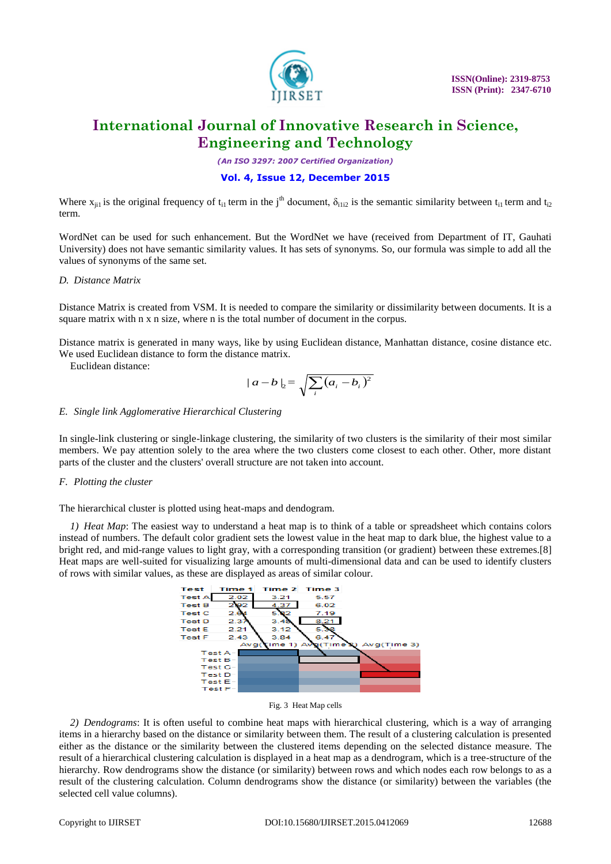

*(An ISO 3297: 2007 Certified Organization)*

### **Vol. 4, Issue 12, December 2015**

Where  $x_{ii1}$  is the original frequency of  $t_{i1}$  term in the j<sup>th</sup> document,  $\delta_{i1i2}$  is the semantic similarity between  $t_{i1}$  term and  $t_{i2}$ term.

WordNet can be used for such enhancement. But the WordNet we have (received from Department of IT, Gauhati University) does not have semantic similarity values. It has sets of synonyms. So, our formula was simple to add all the values of synonyms of the same set.

#### *D. Distance Matrix*

Distance Matrix is created from VSM. It is needed to compare the similarity or dissimilarity between documents. It is a square matrix with n x n size, where n is the total number of document in the corpus.

Distance matrix is generated in many ways, like by using Euclidean distance, Manhattan distance, cosine distance etc. We used Euclidean distance to form the distance matrix.

Euclidean distance:

$$
|a-b|_2 = \sqrt{\sum_i (a_i - b_i)^2}
$$

#### *E. Single link Agglomerative Hierarchical Clustering*

In single-link clustering or single-linkage clustering, the similarity of two clusters is the similarity of their most similar members. We pay attention solely to the area where the two clusters come closest to each other. Other, more distant parts of the cluster and the clusters' overall structure are not taken into account.

### *F. Plotting the cluster*

The hierarchical cluster is plotted using heat-maps and dendogram.

*1) Heat Map*: The easiest way to understand a heat map is to think of a table or spreadsheet which contains colors instead of numbers. The default color gradient sets the lowest value in the heat map to dark blue, the highest value to a bright red, and mid-range values to light gray, with a corresponding transition (or gradient) between these extremes.[8] Heat maps are well-suited for visualizing large amounts of multi-dimensional data and can be used to identify clusters of rows with similar values, as these are displayed as areas of similar colour.



Fig. 3 Heat Map cells

*2) Dendograms*: It is often useful to combine heat maps with hierarchical clustering, which is a way of arranging items in a hierarchy based on the distance or similarity between them. The result of a clustering calculation is presented either as the distance or the similarity between the clustered items depending on the selected distance measure. The result of a hierarchical clustering calculation is displayed in a heat map as a dendrogram, which is a tree-structure of the hierarchy. Row dendrograms show the distance (or similarity) between rows and which nodes each row belongs to as a result of the clustering calculation. Column dendrograms show the distance (or similarity) between the variables (the selected cell value columns).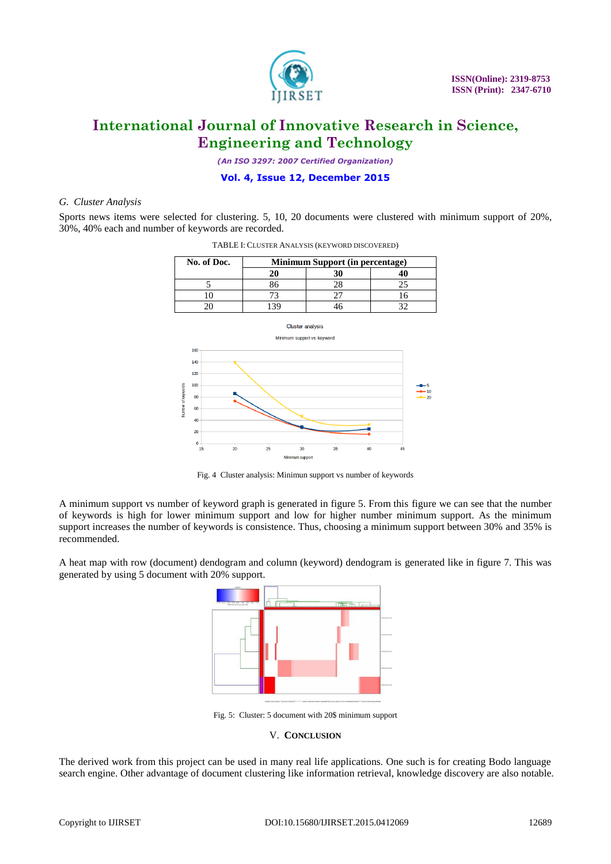

*(An ISO 3297: 2007 Certified Organization)*

### **Vol. 4, Issue 12, December 2015**

#### *G. Cluster Analysis*

Sports news items were selected for clustering. 5, 10, 20 documents were clustered with minimum support of 20%, 30%, 40% each and number of keywords are recorded.





Fig. 4 Cluster analysis: Minimun support vs number of keywords

A minimum support vs number of keyword graph is generated in figure 5. From this figure we can see that the number of keywords is high for lower minimum support and low for higher number minimum support. As the minimum support increases the number of keywords is consistence. Thus, choosing a minimum support between 30% and 35% is recommended.

A heat map with row (document) dendogram and column (keyword) dendogram is generated like in figure 7. This was generated by using 5 document with 20% support.



Fig. 5: Cluster: 5 document with 20\$ minimum support

#### V. **CONCLUSION**

The derived work from this project can be used in many real life applications. One such is for creating Bodo language search engine. Other advantage of document clustering like information retrieval, knowledge discovery are also notable.